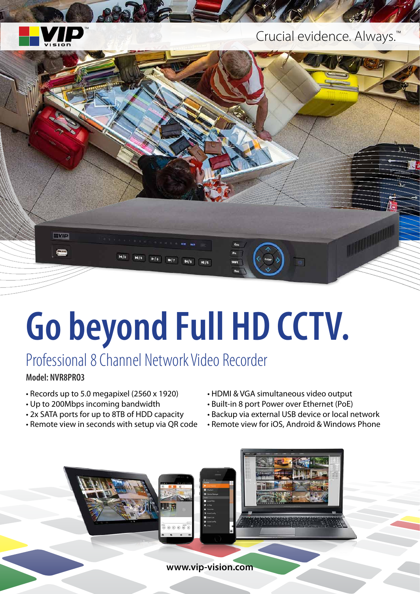

#### Crucial evidence. Always.<sup>™</sup>



# **Go beyond Full HD CCTV.**

## Professional 8 Channel Network Video Recorder

**Model: NVR8PRO3**

- Records up to 5.0 megapixel (2560 x 1920)
- Up to 200Mbps incoming bandwidth
- 2x SATA ports for up to 8TB of HDD capacity
- Remote view in seconds with setup via QR code
- HDMI & VGA simultaneous video output
- Built-in 8 port Power over Ethernet (PoE)
- Backup via external USB device or local network
- Remote view for iOS, Android & Windows Phone